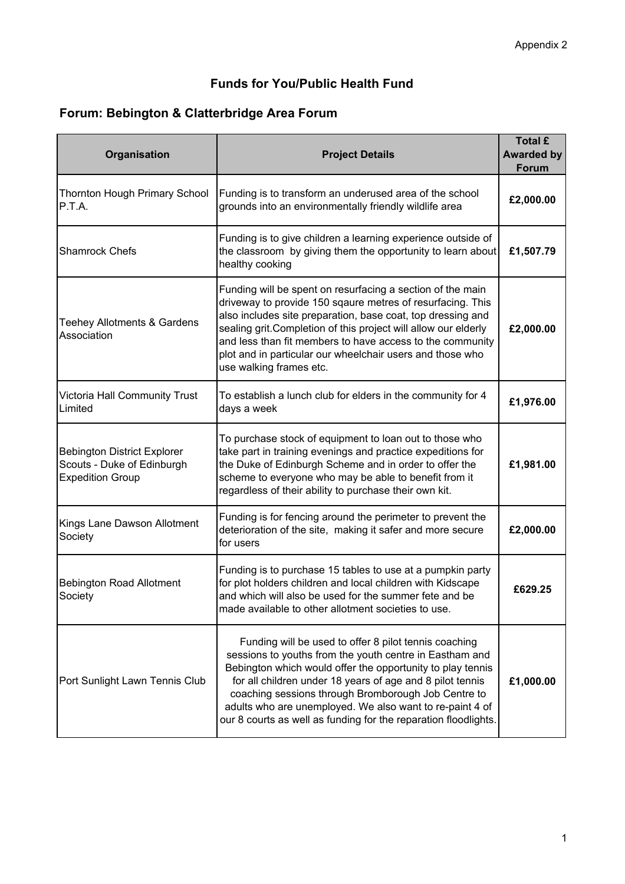### **Funds for You/Public Health Fund**

# **Forum: Bebington & Clatterbridge Area Forum**

| Organisation                                                                                | <b>Project Details</b>                                                                                                                                                                                                                                                                                                                                                                                                            | <b>Total £</b><br><b>Awarded by</b><br>Forum |
|---------------------------------------------------------------------------------------------|-----------------------------------------------------------------------------------------------------------------------------------------------------------------------------------------------------------------------------------------------------------------------------------------------------------------------------------------------------------------------------------------------------------------------------------|----------------------------------------------|
| Thornton Hough Primary School<br>P.T.A.                                                     | Funding is to transform an underused area of the school<br>grounds into an environmentally friendly wildlife area                                                                                                                                                                                                                                                                                                                 | £2,000.00                                    |
| <b>Shamrock Chefs</b>                                                                       | Funding is to give children a learning experience outside of<br>the classroom by giving them the opportunity to learn about<br>healthy cooking                                                                                                                                                                                                                                                                                    | £1,507.79                                    |
| <b>Teehey Allotments &amp; Gardens</b><br>Association                                       | Funding will be spent on resurfacing a section of the main<br>driveway to provide 150 sqaure metres of resurfacing. This<br>also includes site preparation, base coat, top dressing and<br>sealing grit. Completion of this project will allow our elderly<br>and less than fit members to have access to the community<br>plot and in particular our wheelchair users and those who<br>use walking frames etc.                   | £2,000.00                                    |
| Victoria Hall Community Trust<br>Limited                                                    | To establish a lunch club for elders in the community for 4<br>days a week                                                                                                                                                                                                                                                                                                                                                        | £1,976.00                                    |
| <b>Bebington District Explorer</b><br>Scouts - Duke of Edinburgh<br><b>Expedition Group</b> | To purchase stock of equipment to loan out to those who<br>take part in training evenings and practice expeditions for<br>the Duke of Edinburgh Scheme and in order to offer the<br>scheme to everyone who may be able to benefit from it<br>regardless of their ability to purchase their own kit.                                                                                                                               | £1,981.00                                    |
| Kings Lane Dawson Allotment<br>Society                                                      | Funding is for fencing around the perimeter to prevent the<br>deterioration of the site, making it safer and more secure<br>for users                                                                                                                                                                                                                                                                                             | £2,000.00                                    |
| <b>Bebington Road Allotment</b><br>Society                                                  | Funding is to purchase 15 tables to use at a pumpkin party<br>for plot holders children and local children with Kidscape<br>and which will also be used for the summer fete and be<br>made available to other allotment societies to use.                                                                                                                                                                                         | £629.25                                      |
| Port Sunlight Lawn Tennis Club                                                              | Funding will be used to offer 8 pilot tennis coaching<br>sessions to youths from the youth centre in Eastham and<br>Bebington which would offer the opportunity to play tennis<br>for all children under 18 years of age and 8 pilot tennis<br>coaching sessions through Bromborough Job Centre to<br>adults who are unemployed. We also want to re-paint 4 of<br>our 8 courts as well as funding for the reparation floodlights. | £1,000.00                                    |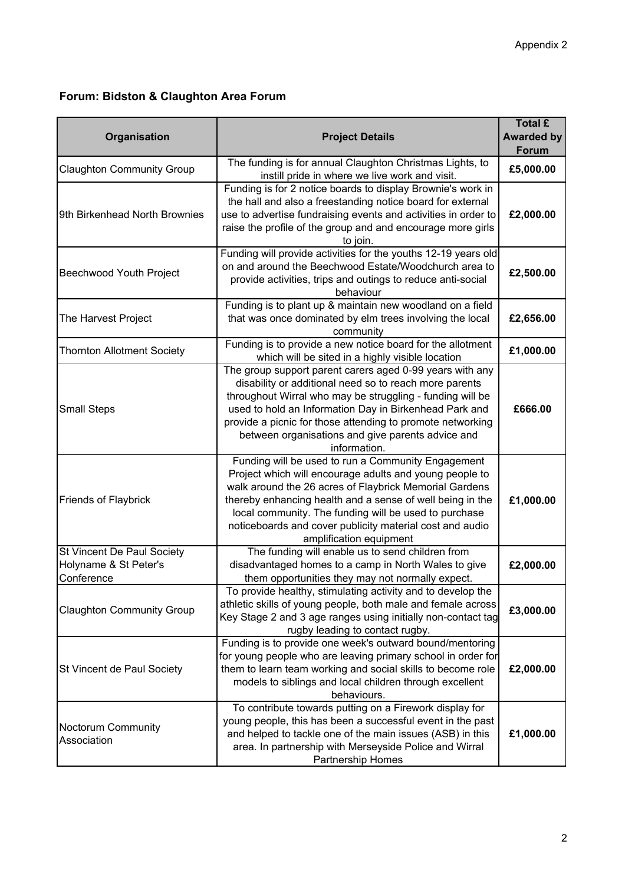### **Forum: Bidston & Claughton Area Forum**

| Organisation                                                      | <b>Project Details</b>                                                                                                                                                                                                                                                                                                                                                               | <b>Total £</b><br><b>Awarded by</b><br><b>Forum</b> |
|-------------------------------------------------------------------|--------------------------------------------------------------------------------------------------------------------------------------------------------------------------------------------------------------------------------------------------------------------------------------------------------------------------------------------------------------------------------------|-----------------------------------------------------|
| <b>Claughton Community Group</b>                                  | The funding is for annual Claughton Christmas Lights, to<br>instill pride in where we live work and visit.                                                                                                                                                                                                                                                                           | £5,000.00                                           |
| 9th Birkenhead North Brownies                                     | Funding is for 2 notice boards to display Brownie's work in<br>the hall and also a freestanding notice board for external<br>use to advertise fundraising events and activities in order to<br>raise the profile of the group and and encourage more girls<br>to join.                                                                                                               | £2,000.00                                           |
| Beechwood Youth Project                                           | Funding will provide activities for the youths 12-19 years old<br>on and around the Beechwood Estate/Woodchurch area to<br>provide activities, trips and outings to reduce anti-social<br>behaviour                                                                                                                                                                                  | £2,500.00                                           |
| The Harvest Project                                               | Funding is to plant up & maintain new woodland on a field<br>that was once dominated by elm trees involving the local<br>community                                                                                                                                                                                                                                                   | £2,656.00                                           |
| <b>Thornton Allotment Society</b>                                 | Funding is to provide a new notice board for the allotment<br>which will be sited in a highly visible location                                                                                                                                                                                                                                                                       | £1,000.00                                           |
| <b>Small Steps</b>                                                | The group support parent carers aged 0-99 years with any<br>disability or additional need so to reach more parents<br>throughout Wirral who may be struggling - funding will be<br>used to hold an Information Day in Birkenhead Park and<br>provide a picnic for those attending to promote networking<br>between organisations and give parents advice and<br>information.         | £666.00                                             |
| <b>Friends of Flaybrick</b>                                       | Funding will be used to run a Community Engagement<br>Project which will encourage adults and young people to<br>walk around the 26 acres of Flaybrick Memorial Gardens<br>thereby enhancing health and a sense of well being in the<br>local community. The funding will be used to purchase<br>noticeboards and cover publicity material cost and audio<br>amplification equipment | £1,000.00                                           |
| St Vincent De Paul Society<br>Holyname & St Peter's<br>Conference | The funding will enable us to send children from<br>disadvantaged homes to a camp in North Wales to give<br>them opportunities they may not normally expect.                                                                                                                                                                                                                         | £2,000.00                                           |
| <b>Claughton Community Group</b>                                  | To provide healthy, stimulating activity and to develop the<br>athletic skills of young people, both male and female across<br>Key Stage 2 and 3 age ranges using initially non-contact tag<br>rugby leading to contact rugby.                                                                                                                                                       | £3,000.00                                           |
| St Vincent de Paul Society                                        | Funding is to provide one week's outward bound/mentoring<br>for young people who are leaving primary school in order for<br>them to learn team working and social skills to become role<br>models to siblings and local children through excellent<br>behaviours.                                                                                                                    | £2,000.00                                           |
| Noctorum Community<br>Association                                 | To contribute towards putting on a Firework display for<br>young people, this has been a successful event in the past<br>and helped to tackle one of the main issues (ASB) in this<br>area. In partnership with Merseyside Police and Wirral<br>Partnership Homes                                                                                                                    | £1,000.00                                           |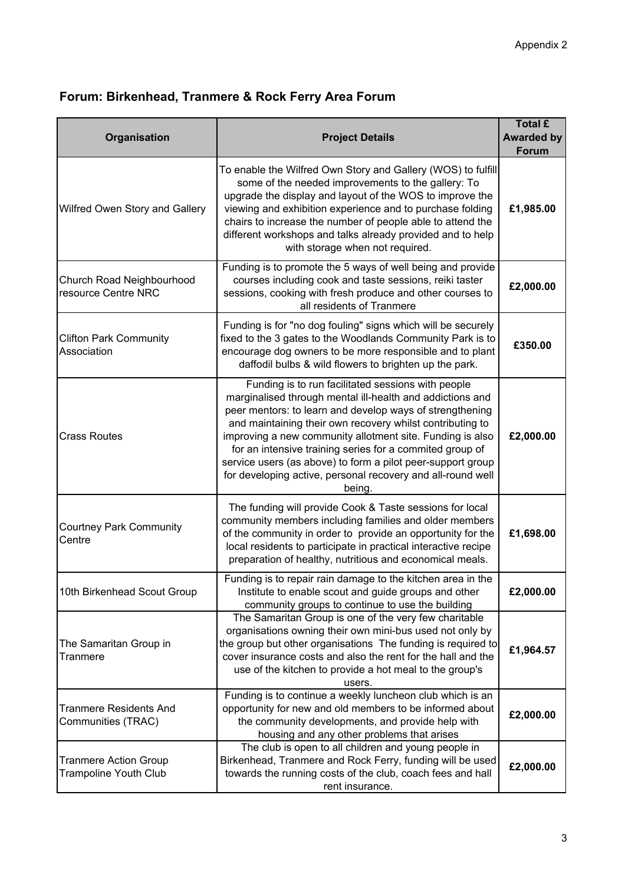# **Forum: Birkenhead, Tranmere & Rock Ferry Area Forum**

| Organisation                                                 | <b>Project Details</b>                                                                                                                                                                                                                                                                                                                                                                                                                                                                                    | <b>Total £</b><br><b>Awarded by</b><br>Forum |
|--------------------------------------------------------------|-----------------------------------------------------------------------------------------------------------------------------------------------------------------------------------------------------------------------------------------------------------------------------------------------------------------------------------------------------------------------------------------------------------------------------------------------------------------------------------------------------------|----------------------------------------------|
| Wilfred Owen Story and Gallery                               | To enable the Wilfred Own Story and Gallery (WOS) to fulfill<br>some of the needed improvements to the gallery: To<br>upgrade the display and layout of the WOS to improve the<br>viewing and exhibition experience and to purchase folding<br>chairs to increase the number of people able to attend the<br>different workshops and talks already provided and to help<br>with storage when not required.                                                                                                | £1,985.00                                    |
| Church Road Neighbourhood<br>resource Centre NRC             | Funding is to promote the 5 ways of well being and provide<br>courses including cook and taste sessions, reiki taster<br>sessions, cooking with fresh produce and other courses to<br>all residents of Tranmere                                                                                                                                                                                                                                                                                           | £2,000.00                                    |
| <b>Clifton Park Community</b><br>Association                 | Funding is for "no dog fouling" signs which will be securely<br>fixed to the 3 gates to the Woodlands Community Park is to<br>encourage dog owners to be more responsible and to plant<br>daffodil bulbs & wild flowers to brighten up the park.                                                                                                                                                                                                                                                          | £350.00                                      |
| <b>Crass Routes</b>                                          | Funding is to run facilitated sessions with people<br>marginalised through mental ill-health and addictions and<br>peer mentors: to learn and develop ways of strengthening<br>and maintaining their own recovery whilst contributing to<br>improving a new community allotment site. Funding is also<br>for an intensive training series for a commited group of<br>service users (as above) to form a pilot peer-support group<br>for developing active, personal recovery and all-round well<br>being. | £2,000.00                                    |
| <b>Courtney Park Community</b><br>Centre                     | The funding will provide Cook & Taste sessions for local<br>community members including families and older members<br>of the community in order to provide an opportunity for the<br>local residents to participate in practical interactive recipe<br>preparation of healthy, nutritious and economical meals.                                                                                                                                                                                           | £1,698.00                                    |
| 10th Birkenhead Scout Group                                  | Funding is to repair rain damage to the kitchen area in the<br>Institute to enable scout and guide groups and other<br>community groups to continue to use the building                                                                                                                                                                                                                                                                                                                                   | £2,000.00                                    |
| The Samaritan Group in<br>Tranmere                           | The Samaritan Group is one of the very few charitable<br>organisations owning their own mini-bus used not only by<br>the group but other organisations The funding is required to<br>cover insurance costs and also the rent for the hall and the<br>use of the kitchen to provide a hot meal to the group's<br>users.                                                                                                                                                                                    | £1,964.57                                    |
| <b>Tranmere Residents And</b><br>Communities (TRAC)          | Funding is to continue a weekly luncheon club which is an<br>opportunity for new and old members to be informed about<br>the community developments, and provide help with<br>housing and any other problems that arises                                                                                                                                                                                                                                                                                  | £2,000.00                                    |
| <b>Tranmere Action Group</b><br><b>Trampoline Youth Club</b> | The club is open to all children and young people in<br>Birkenhead, Tranmere and Rock Ferry, funding will be used<br>towards the running costs of the club, coach fees and hall<br>rent insurance.                                                                                                                                                                                                                                                                                                        | £2,000.00                                    |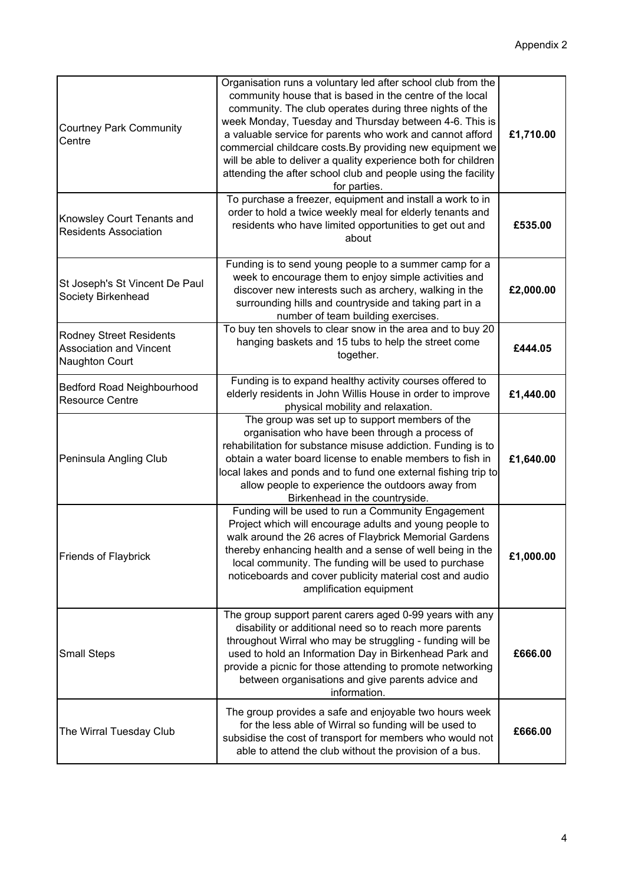| <b>Courtney Park Community</b><br>Centre                                                  | Organisation runs a voluntary led after school club from the<br>community house that is based in the centre of the local<br>community. The club operates during three nights of the<br>week Monday, Tuesday and Thursday between 4-6. This is<br>a valuable service for parents who work and cannot afford<br>commercial childcare costs. By providing new equipment we<br>will be able to deliver a quality experience both for children<br>attending the after school club and people using the facility<br>for parties. | £1,710.00 |
|-------------------------------------------------------------------------------------------|----------------------------------------------------------------------------------------------------------------------------------------------------------------------------------------------------------------------------------------------------------------------------------------------------------------------------------------------------------------------------------------------------------------------------------------------------------------------------------------------------------------------------|-----------|
| Knowsley Court Tenants and<br><b>Residents Association</b>                                | To purchase a freezer, equipment and install a work to in<br>order to hold a twice weekly meal for elderly tenants and<br>residents who have limited opportunities to get out and<br>about                                                                                                                                                                                                                                                                                                                                 | £535.00   |
| St Joseph's St Vincent De Paul<br>Society Birkenhead                                      | Funding is to send young people to a summer camp for a<br>week to encourage them to enjoy simple activities and<br>discover new interests such as archery, walking in the<br>surrounding hills and countryside and taking part in a<br>number of team building exercises.                                                                                                                                                                                                                                                  | £2,000.00 |
| <b>Rodney Street Residents</b><br><b>Association and Vincent</b><br><b>Naughton Court</b> | To buy ten shovels to clear snow in the area and to buy 20<br>hanging baskets and 15 tubs to help the street come<br>together.                                                                                                                                                                                                                                                                                                                                                                                             | £444.05   |
| Bedford Road Neighbourhood<br><b>Resource Centre</b>                                      | Funding is to expand healthy activity courses offered to<br>elderly residents in John Willis House in order to improve<br>physical mobility and relaxation.                                                                                                                                                                                                                                                                                                                                                                | £1,440.00 |
| Peninsula Angling Club                                                                    | The group was set up to support members of the<br>organisation who have been through a process of<br>rehabilitation for substance misuse addiction. Funding is to<br>obtain a water board license to enable members to fish in<br>local lakes and ponds and to fund one external fishing trip to<br>allow people to experience the outdoors away from<br>Birkenhead in the countryside.                                                                                                                                    | £1,640.00 |
| Friends of Flaybrick                                                                      | Funding will be used to run a Community Engagement<br>Project which will encourage adults and young people to<br>walk around the 26 acres of Flaybrick Memorial Gardens<br>thereby enhancing health and a sense of well being in the<br>local community. The funding will be used to purchase<br>noticeboards and cover publicity material cost and audio<br>amplification equipment                                                                                                                                       | £1,000.00 |
| <b>Small Steps</b>                                                                        | The group support parent carers aged 0-99 years with any<br>disability or additional need so to reach more parents<br>throughout Wirral who may be struggling - funding will be<br>used to hold an Information Day in Birkenhead Park and<br>provide a picnic for those attending to promote networking<br>between organisations and give parents advice and<br>information.                                                                                                                                               | £666.00   |
| The Wirral Tuesday Club                                                                   | The group provides a safe and enjoyable two hours week<br>for the less able of Wirral so funding will be used to<br>subsidise the cost of transport for members who would not<br>able to attend the club without the provision of a bus.                                                                                                                                                                                                                                                                                   | £666.00   |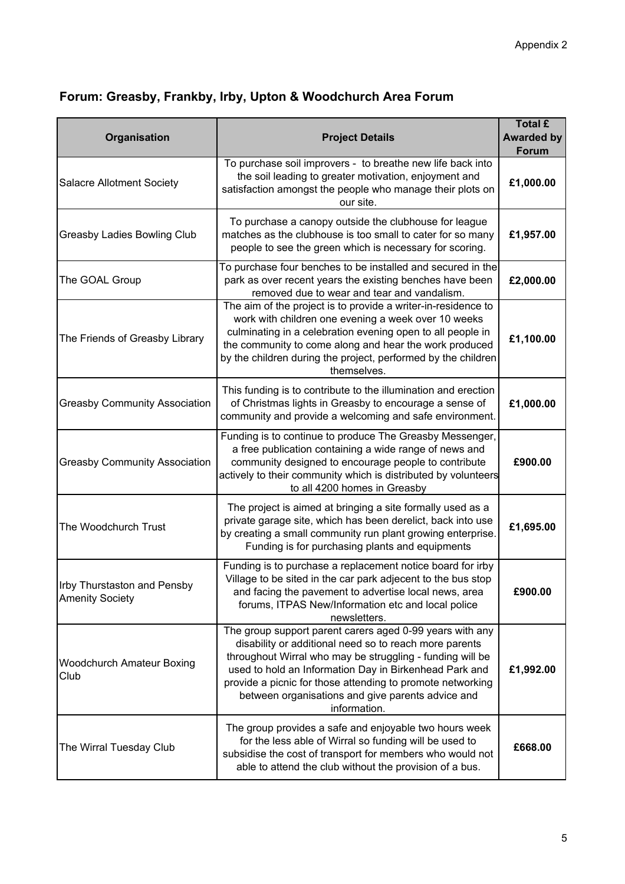# **Forum: Greasby, Frankby, Irby, Upton & Woodchurch Area Forum**

| Organisation                                          | <b>Project Details</b>                                                                                                                                                                                                                                                                                                                                                       | <b>Total £</b><br><b>Awarded by</b><br>Forum |
|-------------------------------------------------------|------------------------------------------------------------------------------------------------------------------------------------------------------------------------------------------------------------------------------------------------------------------------------------------------------------------------------------------------------------------------------|----------------------------------------------|
| <b>Salacre Allotment Society</b>                      | To purchase soil improvers - to breathe new life back into<br>the soil leading to greater motivation, enjoyment and<br>satisfaction amongst the people who manage their plots on<br>our site.                                                                                                                                                                                | £1,000.00                                    |
| Greasby Ladies Bowling Club                           | To purchase a canopy outside the clubhouse for league<br>matches as the clubhouse is too small to cater for so many<br>people to see the green which is necessary for scoring.                                                                                                                                                                                               | £1,957.00                                    |
| The GOAL Group                                        | To purchase four benches to be installed and secured in the<br>park as over recent years the existing benches have been<br>removed due to wear and tear and vandalism.                                                                                                                                                                                                       | £2,000.00                                    |
| The Friends of Greasby Library                        | The aim of the project is to provide a writer-in-residence to<br>work with children one evening a week over 10 weeks<br>culminating in a celebration evening open to all people in<br>the community to come along and hear the work produced<br>by the children during the project, performed by the children<br>themselves.                                                 | £1,100.00                                    |
| <b>Greasby Community Association</b>                  | This funding is to contribute to the illumination and erection<br>of Christmas lights in Greasby to encourage a sense of<br>community and provide a welcoming and safe environment.                                                                                                                                                                                          | £1,000.00                                    |
| <b>Greasby Community Association</b>                  | Funding is to continue to produce The Greasby Messenger,<br>a free publication containing a wide range of news and<br>community designed to encourage people to contribute<br>actively to their community which is distributed by volunteers<br>to all 4200 homes in Greasby                                                                                                 | £900.00                                      |
| The Woodchurch Trust                                  | The project is aimed at bringing a site formally used as a<br>private garage site, which has been derelict, back into use<br>by creating a small community run plant growing enterprise.<br>Funding is for purchasing plants and equipments                                                                                                                                  | £1,695.00                                    |
| Irby Thurstaston and Pensby<br><b>Amenity Society</b> | Funding is to purchase a replacement notice board for irby<br>Village to be sited in the car park adjecent to the bus stop<br>and facing the pavement to advertise local news, area<br>forums, ITPAS New/Information etc and local police<br>newsletters.                                                                                                                    | £900.00                                      |
| Woodchurch Amateur Boxing<br>Club                     | The group support parent carers aged 0-99 years with any<br>disability or additional need so to reach more parents<br>throughout Wirral who may be struggling - funding will be<br>used to hold an Information Day in Birkenhead Park and<br>provide a picnic for those attending to promote networking<br>between organisations and give parents advice and<br>information. | £1,992.00                                    |
| The Wirral Tuesday Club                               | The group provides a safe and enjoyable two hours week<br>for the less able of Wirral so funding will be used to<br>subsidise the cost of transport for members who would not<br>able to attend the club without the provision of a bus.                                                                                                                                     | £668.00                                      |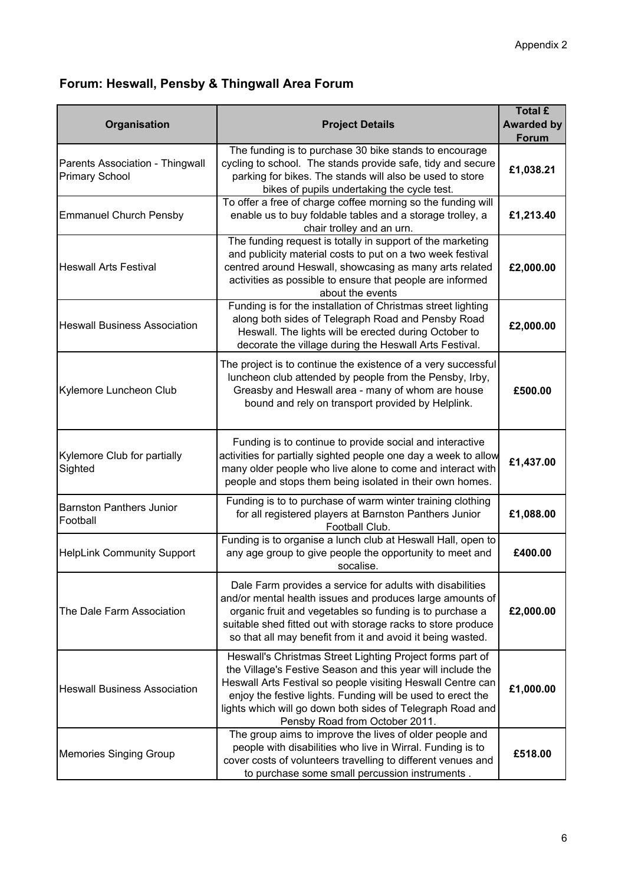# **Forum: Heswall, Pensby & Thingwall Area Forum**

| Organisation                                             | <b>Project Details</b>                                                                                                                                                                                                                                                                                                                                 | <b>Total £</b><br><b>Awarded by</b><br>Forum |
|----------------------------------------------------------|--------------------------------------------------------------------------------------------------------------------------------------------------------------------------------------------------------------------------------------------------------------------------------------------------------------------------------------------------------|----------------------------------------------|
| Parents Association - Thingwall<br><b>Primary School</b> | The funding is to purchase 30 bike stands to encourage<br>cycling to school. The stands provide safe, tidy and secure<br>parking for bikes. The stands will also be used to store<br>bikes of pupils undertaking the cycle test.                                                                                                                       | £1,038.21                                    |
| <b>Emmanuel Church Pensby</b>                            | To offer a free of charge coffee morning so the funding will<br>enable us to buy foldable tables and a storage trolley, a<br>chair trolley and an urn.                                                                                                                                                                                                 | £1,213.40                                    |
| <b>Heswall Arts Festival</b>                             | The funding request is totally in support of the marketing<br>and publicity material costs to put on a two week festival<br>centred around Heswall, showcasing as many arts related<br>activities as possible to ensure that people are informed<br>about the events                                                                                   | £2,000.00                                    |
| <b>Heswall Business Association</b>                      | Funding is for the installation of Christmas street lighting<br>along both sides of Telegraph Road and Pensby Road<br>Heswall. The lights will be erected during October to<br>decorate the village during the Heswall Arts Festival.                                                                                                                  | £2,000.00                                    |
| Kylemore Luncheon Club                                   | The project is to continue the existence of a very successful<br>luncheon club attended by people from the Pensby, Irby,<br>Greasby and Heswall area - many of whom are house<br>bound and rely on transport provided by Helplink.                                                                                                                     | £500.00                                      |
| Kylemore Club for partially<br>Sighted                   | Funding is to continue to provide social and interactive<br>activities for partially sighted people one day a week to allow<br>many older people who live alone to come and interact with<br>people and stops them being isolated in their own homes.                                                                                                  | £1,437.00                                    |
| <b>Barnston Panthers Junior</b><br>Football              | Funding is to to purchase of warm winter training clothing<br>for all registered players at Barnston Panthers Junior<br>Football Club.                                                                                                                                                                                                                 | £1,088.00                                    |
| <b>HelpLink Community Support</b>                        | Funding is to organise a lunch club at Heswall Hall, open to<br>any age group to give people the opportunity to meet and<br>socalise.                                                                                                                                                                                                                  | £400.00                                      |
| The Dale Farm Association                                | Dale Farm provides a service for adults with disabilities<br>and/or mental health issues and produces large amounts of<br>organic fruit and vegetables so funding is to purchase a<br>suitable shed fitted out with storage racks to store produce<br>so that all may benefit from it and avoid it being wasted.                                       | £2,000.00                                    |
| <b>Heswall Business Association</b>                      | Heswall's Christmas Street Lighting Project forms part of<br>the Village's Festive Season and this year will include the<br>Heswall Arts Festival so people visiting Heswall Centre can<br>enjoy the festive lights. Funding will be used to erect the<br>lights which will go down both sides of Telegraph Road and<br>Pensby Road from October 2011. | £1,000.00                                    |
| <b>Memories Singing Group</b>                            | The group aims to improve the lives of older people and<br>people with disabilities who live in Wirral. Funding is to<br>cover costs of volunteers travelling to different venues and<br>to purchase some small percussion instruments.                                                                                                                | £518.00                                      |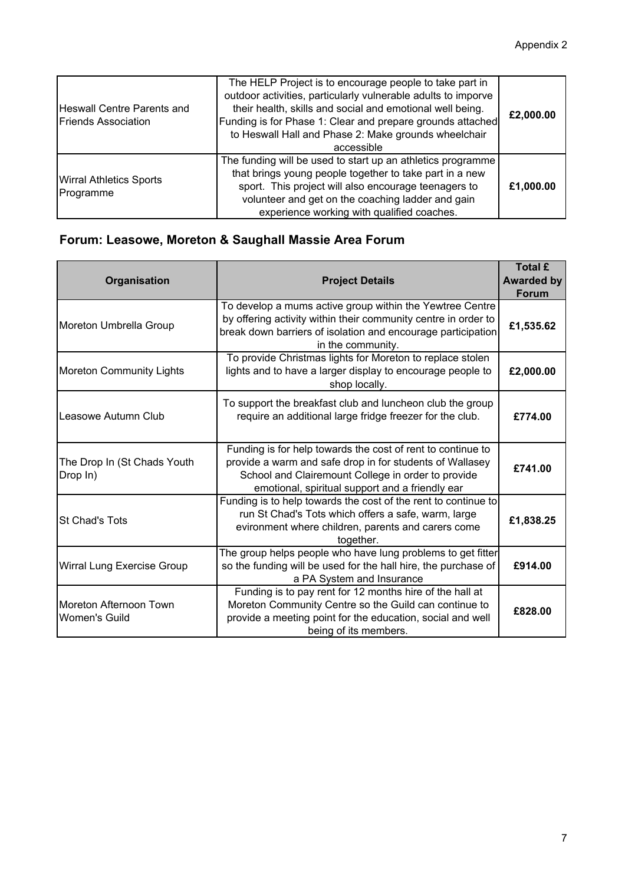| <b>Heswall Centre Parents and</b><br><b>Friends Association</b> | The HELP Project is to encourage people to take part in<br>outdoor activities, particularly vulnerable adults to imporve<br>their health, skills and social and emotional well being.<br>Funding is for Phase 1: Clear and prepare grounds attached<br>to Heswall Hall and Phase 2: Make grounds wheelchair<br>accessible | £2,000.00 |
|-----------------------------------------------------------------|---------------------------------------------------------------------------------------------------------------------------------------------------------------------------------------------------------------------------------------------------------------------------------------------------------------------------|-----------|
| <b>Wirral Athletics Sports</b><br>Programme                     | The funding will be used to start up an athletics programme<br>that brings young people together to take part in a new<br>sport. This project will also encourage teenagers to<br>volunteer and get on the coaching ladder and gain<br>experience working with qualified coaches.                                         | £1,000.00 |

# **Forum: Leasowe, Moreton & Saughall Massie Area Forum**

| Organisation                            | <b>Project Details</b>                                                                                                                                                                                                           | <b>Total £</b><br><b>Awarded by</b><br><b>Forum</b> |
|-----------------------------------------|----------------------------------------------------------------------------------------------------------------------------------------------------------------------------------------------------------------------------------|-----------------------------------------------------|
| Moreton Umbrella Group                  | To develop a mums active group within the Yewtree Centre<br>by offering activity within their community centre in order to<br>break down barriers of isolation and encourage participation<br>in the community.                  | £1,535.62                                           |
| <b>Moreton Community Lights</b>         | To provide Christmas lights for Moreton to replace stolen<br>lights and to have a larger display to encourage people to<br>shop locally.                                                                                         | £2,000.00                                           |
| Leasowe Autumn Club                     | To support the breakfast club and luncheon club the group<br>require an additional large fridge freezer for the club.                                                                                                            | £774.00                                             |
| The Drop In (St Chads Youth<br>Drop In) | Funding is for help towards the cost of rent to continue to<br>provide a warm and safe drop in for students of Wallasey<br>School and Clairemount College in order to provide<br>emotional, spiritual support and a friendly ear | £741.00                                             |
| <b>St Chad's Tots</b>                   | Funding is to help towards the cost of the rent to continue to<br>run St Chad's Tots which offers a safe, warm, large<br>evironment where children, parents and carers come<br>together.                                         | £1,838.25                                           |
| Wirral Lung Exercise Group              | The group helps people who have lung problems to get fitter<br>so the funding will be used for the hall hire, the purchase of<br>a PA System and Insurance                                                                       | £914.00                                             |
| Moreton Afternoon Town<br>Women's Guild | Funding is to pay rent for 12 months hire of the hall at<br>Moreton Community Centre so the Guild can continue to<br>provide a meeting point for the education, social and well<br>being of its members.                         | £828.00                                             |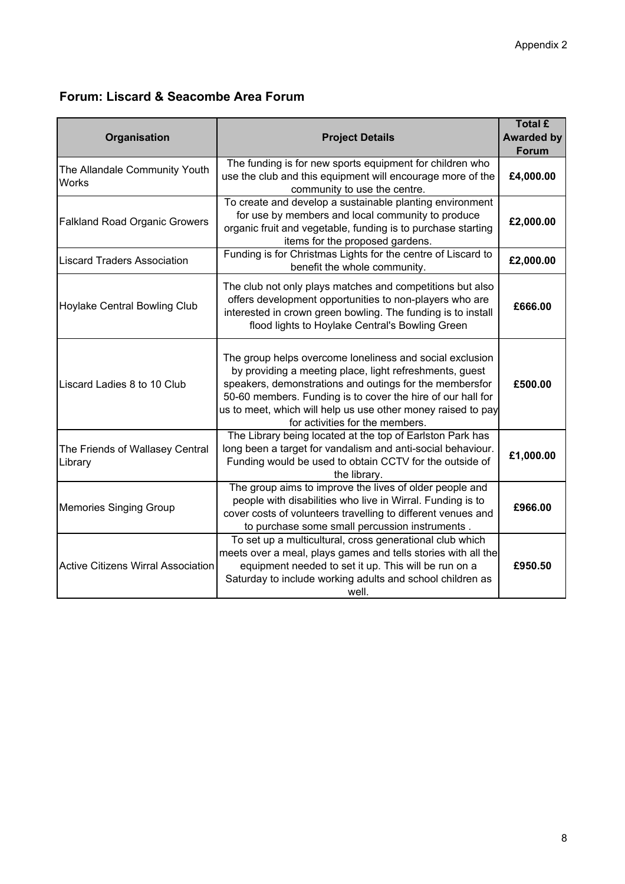#### **Forum: Liscard & Seacombe Area Forum**

| Organisation                                  | <b>Project Details</b>                                                                                                                                                                                                                                                                                                                           | <b>Total £</b><br><b>Awarded by</b><br><b>Forum</b> |
|-----------------------------------------------|--------------------------------------------------------------------------------------------------------------------------------------------------------------------------------------------------------------------------------------------------------------------------------------------------------------------------------------------------|-----------------------------------------------------|
| The Allandale Community Youth<br><b>Works</b> | The funding is for new sports equipment for children who<br>use the club and this equipment will encourage more of the<br>community to use the centre.                                                                                                                                                                                           | £4,000.00                                           |
| <b>Falkland Road Organic Growers</b>          | To create and develop a sustainable planting environment<br>for use by members and local community to produce<br>organic fruit and vegetable, funding is to purchase starting<br>items for the proposed gardens.                                                                                                                                 | £2,000.00                                           |
| <b>Liscard Traders Association</b>            | Funding is for Christmas Lights for the centre of Liscard to<br>benefit the whole community.                                                                                                                                                                                                                                                     | £2,000.00                                           |
| Hoylake Central Bowling Club                  | The club not only plays matches and competitions but also<br>offers development opportunities to non-players who are<br>interested in crown green bowling. The funding is to install<br>flood lights to Hoylake Central's Bowling Green                                                                                                          | £666.00                                             |
| Liscard Ladies 8 to 10 Club                   | The group helps overcome loneliness and social exclusion<br>by providing a meeting place, light refreshments, guest<br>speakers, demonstrations and outings for the membersfor<br>50-60 members. Funding is to cover the hire of our hall for<br>us to meet, which will help us use other money raised to pay<br>for activities for the members. | £500.00                                             |
| The Friends of Wallasey Central<br>Library    | The Library being located at the top of Earlston Park has<br>long been a target for vandalism and anti-social behaviour.<br>Funding would be used to obtain CCTV for the outside of<br>the library.                                                                                                                                              | £1,000.00                                           |
| <b>Memories Singing Group</b>                 | The group aims to improve the lives of older people and<br>people with disabilities who live in Wirral. Funding is to<br>cover costs of volunteers travelling to different venues and<br>to purchase some small percussion instruments.                                                                                                          | £966.00                                             |
| <b>Active Citizens Wirral Association</b>     | To set up a multicultural, cross generational club which<br>meets over a meal, plays games and tells stories with all the<br>equipment needed to set it up. This will be run on a<br>Saturday to include working adults and school children as<br>well.                                                                                          | £950.50                                             |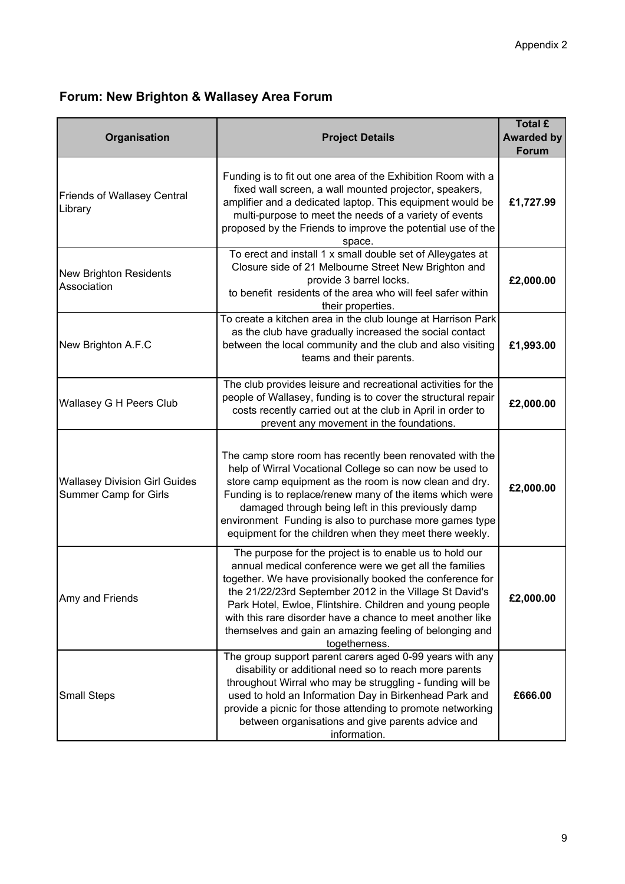# **Forum: New Brighton & Wallasey Area Forum**

| Organisation                                                  | <b>Project Details</b>                                                                                                                                                                                                                                                                                                                                                                                                                          | <b>Total £</b><br><b>Awarded by</b><br><b>Forum</b> |
|---------------------------------------------------------------|-------------------------------------------------------------------------------------------------------------------------------------------------------------------------------------------------------------------------------------------------------------------------------------------------------------------------------------------------------------------------------------------------------------------------------------------------|-----------------------------------------------------|
| <b>Friends of Wallasey Central</b><br>Library                 | Funding is to fit out one area of the Exhibition Room with a<br>fixed wall screen, a wall mounted projector, speakers,<br>amplifier and a dedicated laptop. This equipment would be<br>multi-purpose to meet the needs of a variety of events<br>proposed by the Friends to improve the potential use of the<br>space.                                                                                                                          | £1,727.99                                           |
| <b>New Brighton Residents</b><br>Association                  | To erect and install 1 x small double set of Alleygates at<br>Closure side of 21 Melbourne Street New Brighton and<br>provide 3 barrel locks.<br>to benefit residents of the area who will feel safer within<br>their properties.                                                                                                                                                                                                               | £2,000.00                                           |
| New Brighton A.F.C                                            | To create a kitchen area in the club lounge at Harrison Park<br>as the club have gradually increased the social contact<br>between the local community and the club and also visiting<br>teams and their parents.                                                                                                                                                                                                                               | £1,993.00                                           |
| Wallasey G H Peers Club                                       | The club provides leisure and recreational activities for the<br>people of Wallasey, funding is to cover the structural repair<br>costs recently carried out at the club in April in order to<br>prevent any movement in the foundations.                                                                                                                                                                                                       | £2,000.00                                           |
| <b>Wallasey Division Girl Guides</b><br>Summer Camp for Girls | The camp store room has recently been renovated with the<br>help of Wirral Vocational College so can now be used to<br>store camp equipment as the room is now clean and dry.<br>Funding is to replace/renew many of the items which were<br>damaged through being left in this previously damp<br>environment Funding is also to purchase more games type<br>equipment for the children when they meet there weekly.                           | £2,000.00                                           |
| Amy and Friends                                               | The purpose for the project is to enable us to hold our<br>annual medical conference were we get all the families<br>together. We have provisionally booked the conference for<br>the 21/22/23rd September 2012 in the Village St David's<br>Park Hotel, Ewloe, Flintshire. Children and young people<br>with this rare disorder have a chance to meet another like<br>themselves and gain an amazing feeling of belonging and<br>togetherness. | £2,000.00                                           |
| <b>Small Steps</b>                                            | The group support parent carers aged 0-99 years with any<br>disability or additional need so to reach more parents<br>throughout Wirral who may be struggling - funding will be<br>used to hold an Information Day in Birkenhead Park and<br>provide a picnic for those attending to promote networking<br>between organisations and give parents advice and<br>information.                                                                    | £666.00                                             |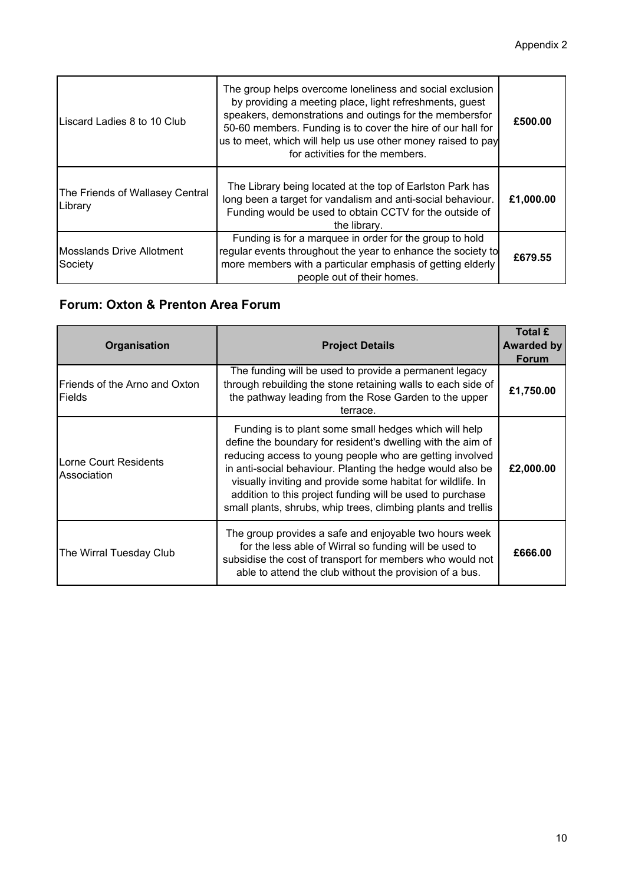| Liscard Ladies 8 to 10 Club                 | The group helps overcome loneliness and social exclusion<br>by providing a meeting place, light refreshments, guest<br>speakers, demonstrations and outings for the membersfor<br>50-60 members. Funding is to cover the hire of our hall for<br>us to meet, which will help us use other money raised to pay<br>for activities for the members. | £500.00   |
|---------------------------------------------|--------------------------------------------------------------------------------------------------------------------------------------------------------------------------------------------------------------------------------------------------------------------------------------------------------------------------------------------------|-----------|
| The Friends of Wallasey Central<br>Library  | The Library being located at the top of Earlston Park has<br>long been a target for vandalism and anti-social behaviour.<br>Funding would be used to obtain CCTV for the outside of<br>the library.                                                                                                                                              | £1,000.00 |
| <b>Mosslands Drive Allotment</b><br>Society | Funding is for a marquee in order for the group to hold<br>regular events throughout the year to enhance the society to<br>more members with a particular emphasis of getting elderly<br>people out of their homes.                                                                                                                              | £679.55   |

## **Forum: Oxton & Prenton Area Forum**

| <b>Organisation</b>                            | <b>Project Details</b>                                                                                                                                                                                                                                                                                                                                                                                                                      | <b>Total £</b><br>Awarded by<br><b>Forum</b> |
|------------------------------------------------|---------------------------------------------------------------------------------------------------------------------------------------------------------------------------------------------------------------------------------------------------------------------------------------------------------------------------------------------------------------------------------------------------------------------------------------------|----------------------------------------------|
| Friends of the Arno and Oxton<br><b>Fields</b> | The funding will be used to provide a permanent legacy<br>through rebuilding the stone retaining walls to each side of<br>the pathway leading from the Rose Garden to the upper<br>terrace.                                                                                                                                                                                                                                                 | £1,750.00                                    |
| Lorne Court Residents<br>Association           | Funding is to plant some small hedges which will help<br>define the boundary for resident's dwelling with the aim of<br>reducing access to young people who are getting involved<br>in anti-social behaviour. Planting the hedge would also be<br>visually inviting and provide some habitat for wildlife. In<br>addition to this project funding will be used to purchase<br>small plants, shrubs, whip trees, climbing plants and trellis | £2,000.00                                    |
| The Wirral Tuesday Club                        | The group provides a safe and enjoyable two hours week<br>for the less able of Wirral so funding will be used to<br>subsidise the cost of transport for members who would not<br>able to attend the club without the provision of a bus.                                                                                                                                                                                                    | £666,00                                      |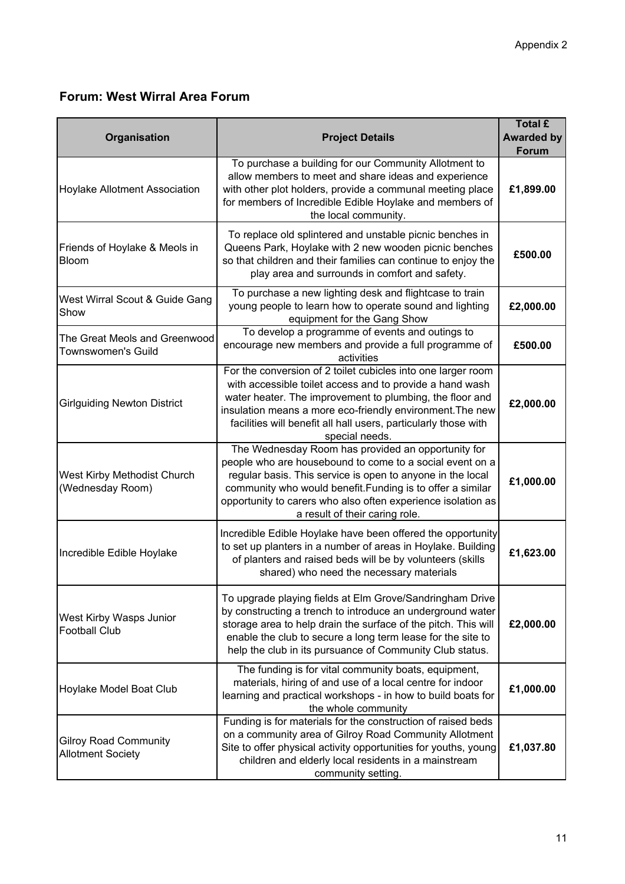## **Forum: West Wirral Area Forum**

| Organisation                                             | <b>Project Details</b>                                                                                                                                                                                                                                                                                                                       | <b>Total £</b><br><b>Awarded by</b><br>Forum |
|----------------------------------------------------------|----------------------------------------------------------------------------------------------------------------------------------------------------------------------------------------------------------------------------------------------------------------------------------------------------------------------------------------------|----------------------------------------------|
| Hoylake Allotment Association                            | To purchase a building for our Community Allotment to<br>allow members to meet and share ideas and experience<br>with other plot holders, provide a communal meeting place<br>for members of Incredible Edible Hoylake and members of<br>the local community.                                                                                | £1,899.00                                    |
| Friends of Hoylake & Meols in<br>Bloom                   | To replace old splintered and unstable picnic benches in<br>Queens Park, Hoylake with 2 new wooden picnic benches<br>so that children and their families can continue to enjoy the<br>play area and surrounds in comfort and safety.                                                                                                         | £500.00                                      |
| West Wirral Scout & Guide Gang<br>Show                   | To purchase a new lighting desk and flightcase to train<br>young people to learn how to operate sound and lighting<br>equipment for the Gang Show                                                                                                                                                                                            | £2,000.00                                    |
| The Great Meols and Greenwood<br>Townswomen's Guild      | To develop a programme of events and outings to<br>encourage new members and provide a full programme of<br>activities                                                                                                                                                                                                                       | £500.00                                      |
| <b>Girlguiding Newton District</b>                       | For the conversion of 2 toilet cubicles into one larger room<br>with accessible toilet access and to provide a hand wash<br>water heater. The improvement to plumbing, the floor and<br>insulation means a more eco-friendly environment. The new<br>facilities will benefit all hall users, particularly those with<br>special needs.       | £2,000.00                                    |
| West Kirby Methodist Church<br>(Wednesday Room)          | The Wednesday Room has provided an opportunity for<br>people who are housebound to come to a social event on a<br>regular basis. This service is open to anyone in the local<br>community who would benefit. Funding is to offer a similar<br>opportunity to carers who also often experience isolation as<br>a result of their caring role. | £1,000.00                                    |
| Incredible Edible Hoylake                                | Incredible Edible Hoylake have been offered the opportunity<br>to set up planters in a number of areas in Hoylake. Building<br>of planters and raised beds will be by volunteers (skills<br>shared) who need the necessary materials                                                                                                         | £1,623.00                                    |
| West Kirby Wasps Junior<br><b>Football Club</b>          | To upgrade playing fields at Elm Grove/Sandringham Drive<br>by constructing a trench to introduce an underground water<br>storage area to help drain the surface of the pitch. This will<br>enable the club to secure a long term lease for the site to<br>help the club in its pursuance of Community Club status.                          | £2,000.00                                    |
| Hoylake Model Boat Club                                  | The funding is for vital community boats, equipment,<br>materials, hiring of and use of a local centre for indoor<br>learning and practical workshops - in how to build boats for<br>the whole community                                                                                                                                     | £1,000.00                                    |
| <b>Gilroy Road Community</b><br><b>Allotment Society</b> | Funding is for materials for the construction of raised beds<br>on a community area of Gilroy Road Community Allotment<br>Site to offer physical activity opportunities for youths, young<br>children and elderly local residents in a mainstream<br>community setting.                                                                      | £1,037.80                                    |